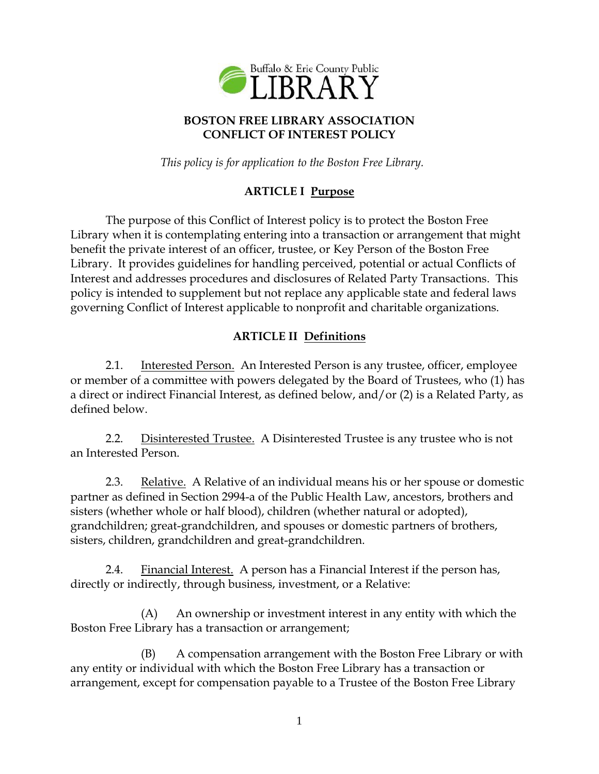

## **BOSTON FREE LIBRARY ASSOCIATION CONFLICT OF INTEREST POLICY**

*This policy is for application to the Boston Free Library.*

# **ARTICLE I Purpose**

The purpose of this Conflict of Interest policy is to protect the Boston Free Library when it is contemplating entering into a transaction or arrangement that might benefit the private interest of an officer, trustee, or Key Person of the Boston Free Library. It provides guidelines for handling perceived, potential or actual Conflicts of Interest and addresses procedures and disclosures of Related Party Transactions. This policy is intended to supplement but not replace any applicable state and federal laws governing Conflict of Interest applicable to nonprofit and charitable organizations.

## **ARTICLE II Definitions**

2.1. Interested Person. An Interested Person is any trustee, officer, employee or member of a committee with powers delegated by the Board of Trustees, who (1) has a direct or indirect Financial Interest, as defined below, and/or (2) is a Related Party, as defined below.

2.2. Disinterested Trustee. A Disinterested Trustee is any trustee who is not an Interested Person.

2.3. Relative. A Relative of an individual means his or her spouse or domestic partner as defined in Section 2994-a of the Public Health Law, ancestors, brothers and sisters (whether whole or half blood), children (whether natural or adopted), grandchildren; great-grandchildren, and spouses or domestic partners of brothers, sisters, children, grandchildren and great-grandchildren.

2.4. Financial Interest. A person has a Financial Interest if the person has, directly or indirectly, through business, investment, or a Relative:

(A) An ownership or investment interest in any entity with which the Boston Free Library has a transaction or arrangement;

(B) A compensation arrangement with the Boston Free Library or with any entity or individual with which the Boston Free Library has a transaction or arrangement, except for compensation payable to a Trustee of the Boston Free Library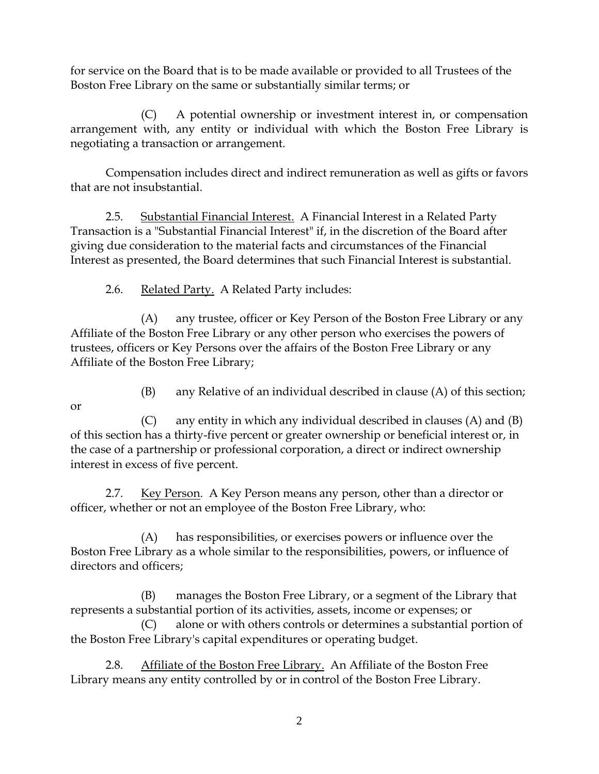for service on the Board that is to be made available or provided to all Trustees of the Boston Free Library on the same or substantially similar terms; or

(C) A potential ownership or investment interest in, or compensation arrangement with, any entity or individual with which the Boston Free Library is negotiating a transaction or arrangement.

Compensation includes direct and indirect remuneration as well as gifts or favors that are not insubstantial.

2.5. Substantial Financial Interest. A Financial Interest in a Related Party Transaction is a "Substantial Financial Interest" if, in the discretion of the Board after giving due consideration to the material facts and circumstances of the Financial Interest as presented, the Board determines that such Financial Interest is substantial.

2.6. Related Party. A Related Party includes:

(A) any trustee, officer or Key Person of the Boston Free Library or any Affiliate of the Boston Free Library or any other person who exercises the powers of trustees, officers or Key Persons over the affairs of the Boston Free Library or any Affiliate of the Boston Free Library;

- or
- (B) any Relative of an individual described in clause (A) of this section;

(C) any entity in which any individual described in clauses (A) and (B) of this section has a thirty-five percent or greater ownership or beneficial interest or, in the case of a partnership or professional corporation, a direct or indirect ownership interest in excess of five percent.

2.7. Key Person. A Key Person means any person, other than a director or officer, whether or not an employee of the Boston Free Library, who:

(A) has responsibilities, or exercises powers or influence over the Boston Free Library as a whole similar to the responsibilities, powers, or influence of directors and officers;

(B) manages the Boston Free Library, or a segment of the Library that represents a substantial portion of its activities, assets, income or expenses; or

(C) alone or with others controls or determines a substantial portion of the Boston Free Library's capital expenditures or operating budget.

2.8. Affiliate of the Boston Free Library. An Affiliate of the Boston Free Library means any entity controlled by or in control of the Boston Free Library.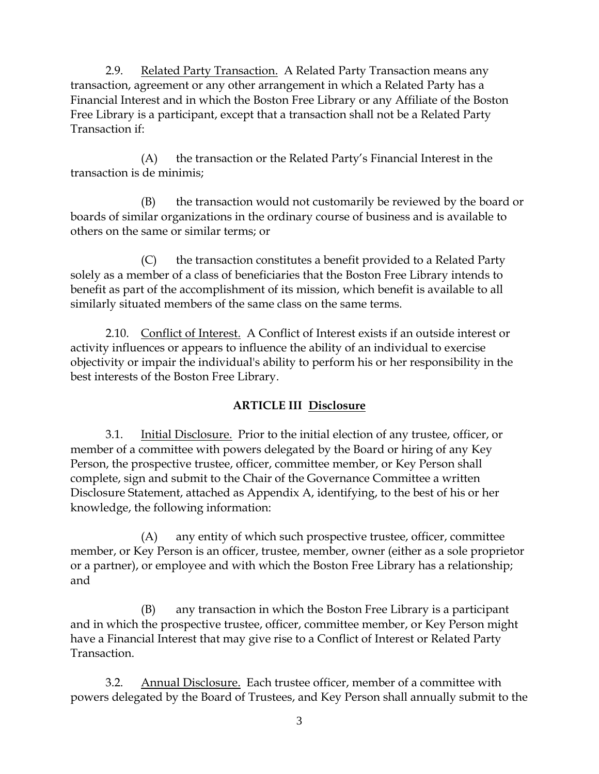2.9. Related Party Transaction. A Related Party Transaction means any transaction, agreement or any other arrangement in which a Related Party has a Financial Interest and in which the Boston Free Library or any Affiliate of the Boston Free Library is a participant, except that a transaction shall not be a Related Party Transaction if:

(A) the transaction or the Related Party's Financial Interest in the transaction is de minimis;

(B) the transaction would not customarily be reviewed by the board or boards of similar organizations in the ordinary course of business and is available to others on the same or similar terms; or

(C) the transaction constitutes a benefit provided to a Related Party solely as a member of a class of beneficiaries that the Boston Free Library intends to benefit as part of the accomplishment of its mission, which benefit is available to all similarly situated members of the same class on the same terms.

2.10. Conflict of Interest. A Conflict of Interest exists if an outside interest or activity influences or appears to influence the ability of an individual to exercise objectivity or impair the individual's ability to perform his or her responsibility in the best interests of the Boston Free Library.

# **ARTICLE III Disclosure**

3.1. Initial Disclosure. Prior to the initial election of any trustee, officer, or member of a committee with powers delegated by the Board or hiring of any Key Person, the prospective trustee, officer, committee member, or Key Person shall complete, sign and submit to the Chair of the Governance Committee a written Disclosure Statement, attached as Appendix A, identifying, to the best of his or her knowledge, the following information:

(A) any entity of which such prospective trustee, officer, committee member, or Key Person is an officer, trustee, member, owner (either as a sole proprietor or a partner), or employee and with which the Boston Free Library has a relationship; and

(B) any transaction in which the Boston Free Library is a participant and in which the prospective trustee, officer, committee member, or Key Person might have a Financial Interest that may give rise to a Conflict of Interest or Related Party Transaction.

3.2. Annual Disclosure. Each trustee officer, member of a committee with powers delegated by the Board of Trustees, and Key Person shall annually submit to the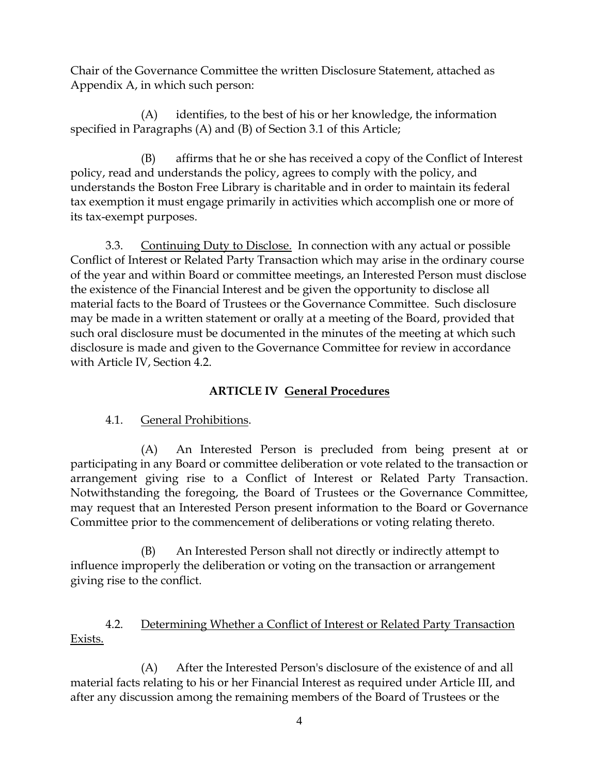Chair of the Governance Committee the written Disclosure Statement, attached as Appendix A, in which such person:

(A) identifies, to the best of his or her knowledge, the information specified in Paragraphs (A) and (B) of Section 3.1 of this Article;

(B) affirms that he or she has received a copy of the Conflict of Interest policy, read and understands the policy, agrees to comply with the policy, and understands the Boston Free Library is charitable and in order to maintain its federal tax exemption it must engage primarily in activities which accomplish one or more of its tax-exempt purposes.

3.3. Continuing Duty to Disclose. In connection with any actual or possible Conflict of Interest or Related Party Transaction which may arise in the ordinary course of the year and within Board or committee meetings, an Interested Person must disclose the existence of the Financial Interest and be given the opportunity to disclose all material facts to the Board of Trustees or the Governance Committee. Such disclosure may be made in a written statement or orally at a meeting of the Board, provided that such oral disclosure must be documented in the minutes of the meeting at which such disclosure is made and given to the Governance Committee for review in accordance with Article IV, Section 4.2.

# **ARTICLE IV General Procedures**

## 4.1. General Prohibitions.

(A) An Interested Person is precluded from being present at or participating in any Board or committee deliberation or vote related to the transaction or arrangement giving rise to a Conflict of Interest or Related Party Transaction. Notwithstanding the foregoing, the Board of Trustees or the Governance Committee, may request that an Interested Person present information to the Board or Governance Committee prior to the commencement of deliberations or voting relating thereto.

(B) An Interested Person shall not directly or indirectly attempt to influence improperly the deliberation or voting on the transaction or arrangement giving rise to the conflict.

## 4.2. Determining Whether a Conflict of Interest or Related Party Transaction Exists.

(A) After the Interested Person's disclosure of the existence of and all material facts relating to his or her Financial Interest as required under Article III, and after any discussion among the remaining members of the Board of Trustees or the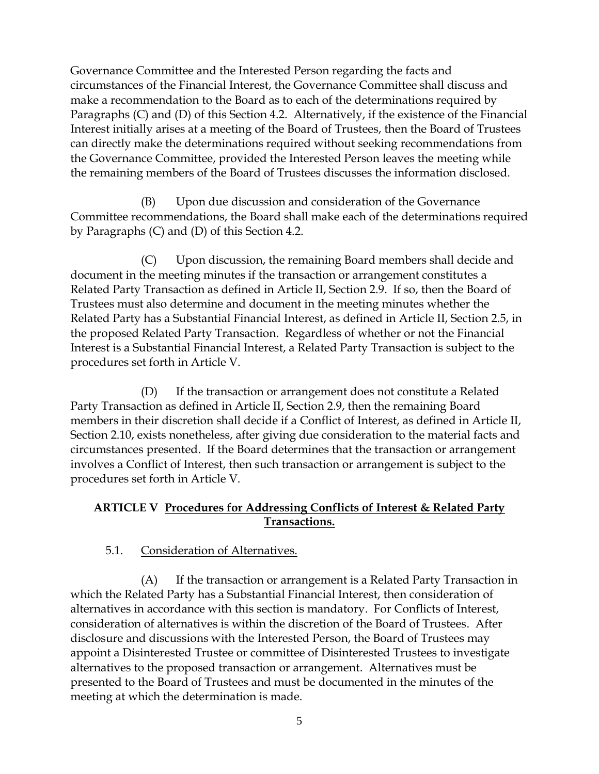Governance Committee and the Interested Person regarding the facts and circumstances of the Financial Interest, the Governance Committee shall discuss and make a recommendation to the Board as to each of the determinations required by Paragraphs (C) and (D) of this Section 4.2. Alternatively, if the existence of the Financial Interest initially arises at a meeting of the Board of Trustees, then the Board of Trustees can directly make the determinations required without seeking recommendations from the Governance Committee, provided the Interested Person leaves the meeting while the remaining members of the Board of Trustees discusses the information disclosed.

(B) Upon due discussion and consideration of the Governance Committee recommendations, the Board shall make each of the determinations required by Paragraphs (C) and (D) of this Section 4.2.

(C) Upon discussion, the remaining Board members shall decide and document in the meeting minutes if the transaction or arrangement constitutes a Related Party Transaction as defined in Article II, Section 2.9. If so, then the Board of Trustees must also determine and document in the meeting minutes whether the Related Party has a Substantial Financial Interest, as defined in Article II, Section 2.5, in the proposed Related Party Transaction. Regardless of whether or not the Financial Interest is a Substantial Financial Interest, a Related Party Transaction is subject to the procedures set forth in Article V.

(D) If the transaction or arrangement does not constitute a Related Party Transaction as defined in Article II, Section 2.9, then the remaining Board members in their discretion shall decide if a Conflict of Interest, as defined in Article II, Section 2.10, exists nonetheless, after giving due consideration to the material facts and circumstances presented. If the Board determines that the transaction or arrangement involves a Conflict of Interest, then such transaction or arrangement is subject to the procedures set forth in Article V.

### **ARTICLE V Procedures for Addressing Conflicts of Interest & Related Party Transactions.**

## 5.1. Consideration of Alternatives.

(A) If the transaction or arrangement is a Related Party Transaction in which the Related Party has a Substantial Financial Interest, then consideration of alternatives in accordance with this section is mandatory. For Conflicts of Interest, consideration of alternatives is within the discretion of the Board of Trustees. After disclosure and discussions with the Interested Person, the Board of Trustees may appoint a Disinterested Trustee or committee of Disinterested Trustees to investigate alternatives to the proposed transaction or arrangement. Alternatives must be presented to the Board of Trustees and must be documented in the minutes of the meeting at which the determination is made.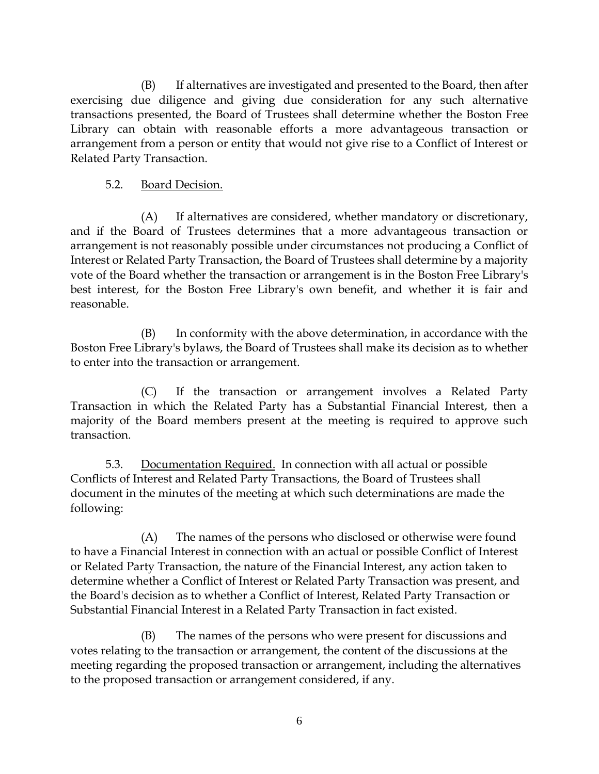(B) If alternatives are investigated and presented to the Board, then after exercising due diligence and giving due consideration for any such alternative transactions presented, the Board of Trustees shall determine whether the Boston Free Library can obtain with reasonable efforts a more advantageous transaction or arrangement from a person or entity that would not give rise to a Conflict of Interest or Related Party Transaction.

### 5.2. Board Decision.

(A) If alternatives are considered, whether mandatory or discretionary, and if the Board of Trustees determines that a more advantageous transaction or arrangement is not reasonably possible under circumstances not producing a Conflict of Interest or Related Party Transaction, the Board of Trustees shall determine by a majority vote of the Board whether the transaction or arrangement is in the Boston Free Library's best interest, for the Boston Free Library's own benefit, and whether it is fair and reasonable.

(B) In conformity with the above determination, in accordance with the Boston Free Library's bylaws, the Board of Trustees shall make its decision as to whether to enter into the transaction or arrangement.

(C) If the transaction or arrangement involves a Related Party Transaction in which the Related Party has a Substantial Financial Interest, then a majority of the Board members present at the meeting is required to approve such transaction.

5.3. Documentation Required. In connection with all actual or possible Conflicts of Interest and Related Party Transactions, the Board of Trustees shall document in the minutes of the meeting at which such determinations are made the following:

(A) The names of the persons who disclosed or otherwise were found to have a Financial Interest in connection with an actual or possible Conflict of Interest or Related Party Transaction, the nature of the Financial Interest, any action taken to determine whether a Conflict of Interest or Related Party Transaction was present, and the Board's decision as to whether a Conflict of Interest, Related Party Transaction or Substantial Financial Interest in a Related Party Transaction in fact existed.

(B) The names of the persons who were present for discussions and votes relating to the transaction or arrangement, the content of the discussions at the meeting regarding the proposed transaction or arrangement, including the alternatives to the proposed transaction or arrangement considered, if any.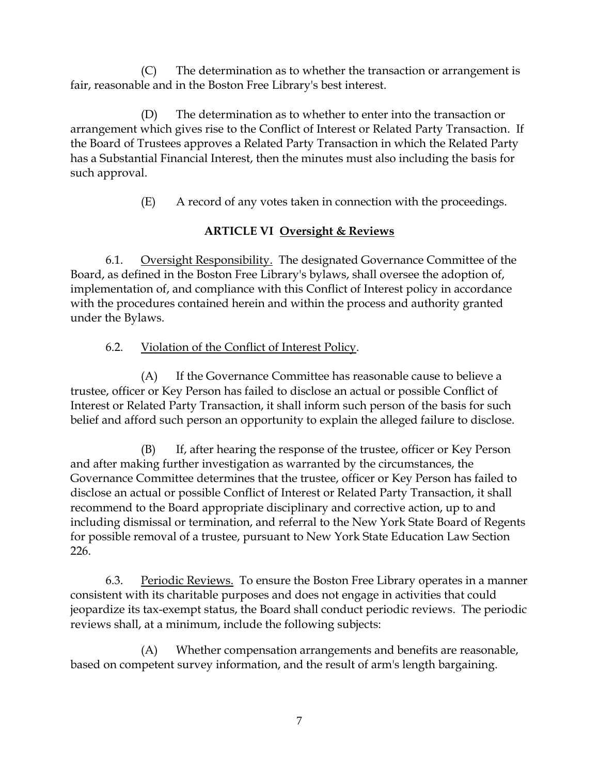(C) The determination as to whether the transaction or arrangement is fair, reasonable and in the Boston Free Library's best interest.

(D) The determination as to whether to enter into the transaction or arrangement which gives rise to the Conflict of Interest or Related Party Transaction. If the Board of Trustees approves a Related Party Transaction in which the Related Party has a Substantial Financial Interest, then the minutes must also including the basis for such approval.

(E) A record of any votes taken in connection with the proceedings.

## **ARTICLE VI Oversight & Reviews**

6.1. Oversight Responsibility. The designated Governance Committee of the Board, as defined in the Boston Free Library's bylaws, shall oversee the adoption of, implementation of, and compliance with this Conflict of Interest policy in accordance with the procedures contained herein and within the process and authority granted under the Bylaws.

## 6.2. Violation of the Conflict of Interest Policy.

(A) If the Governance Committee has reasonable cause to believe a trustee, officer or Key Person has failed to disclose an actual or possible Conflict of Interest or Related Party Transaction, it shall inform such person of the basis for such belief and afford such person an opportunity to explain the alleged failure to disclose.

(B) If, after hearing the response of the trustee, officer or Key Person and after making further investigation as warranted by the circumstances, the Governance Committee determines that the trustee, officer or Key Person has failed to disclose an actual or possible Conflict of Interest or Related Party Transaction, it shall recommend to the Board appropriate disciplinary and corrective action, up to and including dismissal or termination, and referral to the New York State Board of Regents for possible removal of a trustee, pursuant to New York State Education Law Section 226.

6.3. Periodic Reviews. To ensure the Boston Free Library operates in a manner consistent with its charitable purposes and does not engage in activities that could jeopardize its tax-exempt status, the Board shall conduct periodic reviews. The periodic reviews shall, at a minimum, include the following subjects:

(A) Whether compensation arrangements and benefits are reasonable, based on competent survey information, and the result of arm's length bargaining.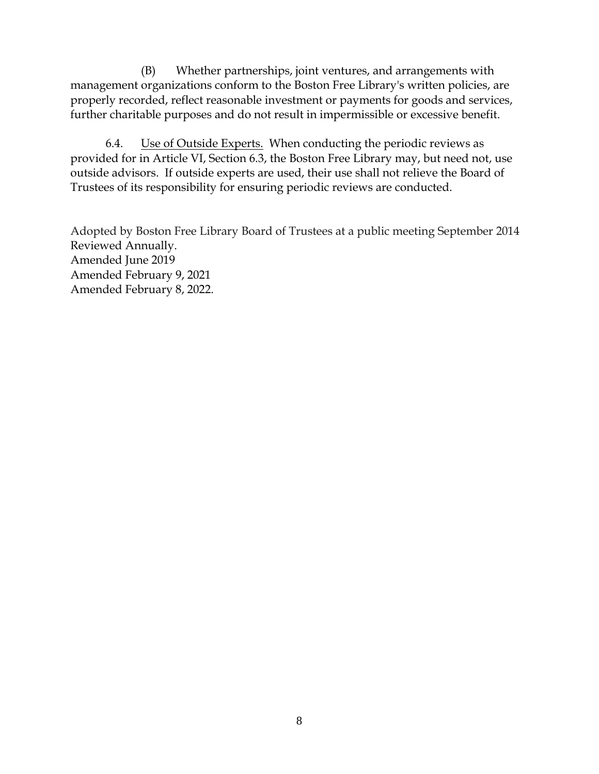(B) Whether partnerships, joint ventures, and arrangements with management organizations conform to the Boston Free Library's written policies, are properly recorded, reflect reasonable investment or payments for goods and services, further charitable purposes and do not result in impermissible or excessive benefit.

6.4. Use of Outside Experts. When conducting the periodic reviews as provided for in Article VI, Section 6.3, the Boston Free Library may, but need not, use outside advisors. If outside experts are used, their use shall not relieve the Board of Trustees of its responsibility for ensuring periodic reviews are conducted.

Adopted by Boston Free Library Board of Trustees at a public meeting September 2014 Reviewed Annually. Amended June 2019 Amended February 9, 2021 Amended February 8, 2022.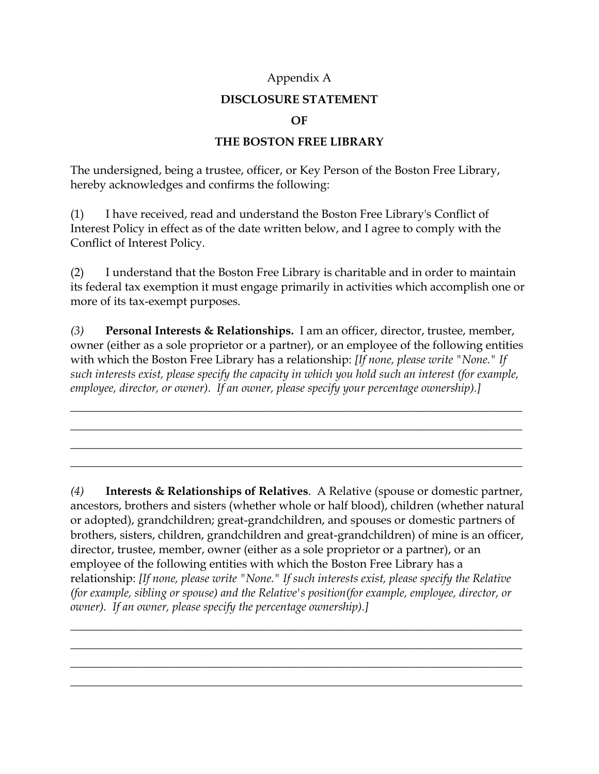#### Appendix A

### **DISCLOSURE STATEMENT**

#### **OF**

### **THE BOSTON FREE LIBRARY**

The undersigned, being a trustee, officer, or Key Person of the Boston Free Library, hereby acknowledges and confirms the following:

(1) I have received, read and understand the Boston Free Library's Conflict of Interest Policy in effect as of the date written below, and I agree to comply with the Conflict of Interest Policy.

(2) I understand that the Boston Free Library is charitable and in order to maintain its federal tax exemption it must engage primarily in activities which accomplish one or more of its tax-exempt purposes.

*(3)* **Personal Interests & Relationships.** I am an officer, director, trustee, member, owner (either as a sole proprietor or a partner), or an employee of the following entities with which the Boston Free Library has a relationship: *[If none, please write "None." If such interests exist, please specify the capacity in which you hold such an interest (for example, employee, director, or owner). If an owner, please specify your percentage ownership).]*

\_\_\_\_\_\_\_\_\_\_\_\_\_\_\_\_\_\_\_\_\_\_\_\_\_\_\_\_\_\_\_\_\_\_\_\_\_\_\_\_\_\_\_\_\_\_\_\_\_\_\_\_\_\_\_\_\_\_\_\_\_\_\_\_\_\_\_\_\_\_\_\_\_\_\_\_\_ \_\_\_\_\_\_\_\_\_\_\_\_\_\_\_\_\_\_\_\_\_\_\_\_\_\_\_\_\_\_\_\_\_\_\_\_\_\_\_\_\_\_\_\_\_\_\_\_\_\_\_\_\_\_\_\_\_\_\_\_\_\_\_\_\_\_\_\_\_\_\_\_\_\_\_\_\_ \_\_\_\_\_\_\_\_\_\_\_\_\_\_\_\_\_\_\_\_\_\_\_\_\_\_\_\_\_\_\_\_\_\_\_\_\_\_\_\_\_\_\_\_\_\_\_\_\_\_\_\_\_\_\_\_\_\_\_\_\_\_\_\_\_\_\_\_\_\_\_\_\_\_\_\_\_ \_\_\_\_\_\_\_\_\_\_\_\_\_\_\_\_\_\_\_\_\_\_\_\_\_\_\_\_\_\_\_\_\_\_\_\_\_\_\_\_\_\_\_\_\_\_\_\_\_\_\_\_\_\_\_\_\_\_\_\_\_\_\_\_\_\_\_\_\_\_\_\_\_\_\_\_\_

*(4)* **Interests & Relationships of Relatives**. A Relative (spouse or domestic partner, ancestors, brothers and sisters (whether whole or half blood), children (whether natural or adopted), grandchildren; great-grandchildren, and spouses or domestic partners of brothers, sisters, children, grandchildren and great-grandchildren) of mine is an officer, director, trustee, member, owner (either as a sole proprietor or a partner), or an employee of the following entities with which the Boston Free Library has a relationship: *[If none, please write "None." If such interests exist, please specify the Relative (for example, sibling or spouse) and the Relative's position(for example, employee, director, or owner). If an owner, please specify the percentage ownership).]*

\_\_\_\_\_\_\_\_\_\_\_\_\_\_\_\_\_\_\_\_\_\_\_\_\_\_\_\_\_\_\_\_\_\_\_\_\_\_\_\_\_\_\_\_\_\_\_\_\_\_\_\_\_\_\_\_\_\_\_\_\_\_\_\_\_\_\_\_\_\_\_\_\_\_\_\_\_ \_\_\_\_\_\_\_\_\_\_\_\_\_\_\_\_\_\_\_\_\_\_\_\_\_\_\_\_\_\_\_\_\_\_\_\_\_\_\_\_\_\_\_\_\_\_\_\_\_\_\_\_\_\_\_\_\_\_\_\_\_\_\_\_\_\_\_\_\_\_\_\_\_\_\_\_\_ \_\_\_\_\_\_\_\_\_\_\_\_\_\_\_\_\_\_\_\_\_\_\_\_\_\_\_\_\_\_\_\_\_\_\_\_\_\_\_\_\_\_\_\_\_\_\_\_\_\_\_\_\_\_\_\_\_\_\_\_\_\_\_\_\_\_\_\_\_\_\_\_\_\_\_\_\_ \_\_\_\_\_\_\_\_\_\_\_\_\_\_\_\_\_\_\_\_\_\_\_\_\_\_\_\_\_\_\_\_\_\_\_\_\_\_\_\_\_\_\_\_\_\_\_\_\_\_\_\_\_\_\_\_\_\_\_\_\_\_\_\_\_\_\_\_\_\_\_\_\_\_\_\_\_